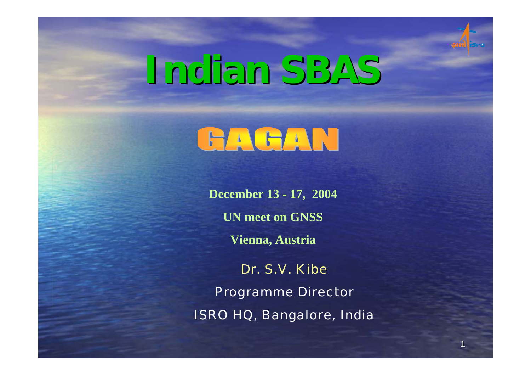

1

# **Indian SBAS Indian SBAS**

## GAGAN

**December 13 - 17, 2004 UN meet on GNSSVienna, Austria**

Dr. S.V. Kibe

Programme Director ISRO HQ, Bangalore, India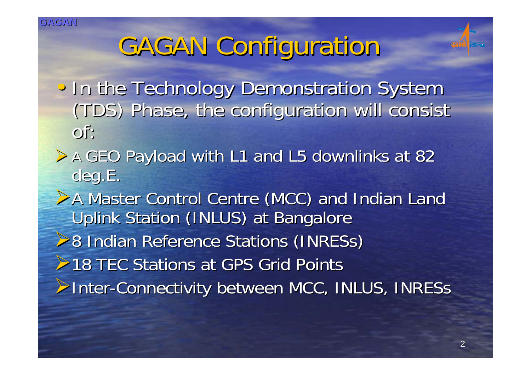### GAGAN Configuration

- In the Technology Demonstration System (TDS) Phase, the configuration will consist (TDS) Phase, the configuration will consist of:
- A GEO Payload with L1 and L5 downlinks at 82 deg.E.
- A Master Control Centre (MCC) and Indian Land Uplink Station (INLUS) at Bangalore **▶8 Indian Reference Stations (INRESs) ≻18 TEC Stations at GPS Grid Points** ▶Inter-Connectivity between MCC, INLUS, INRESs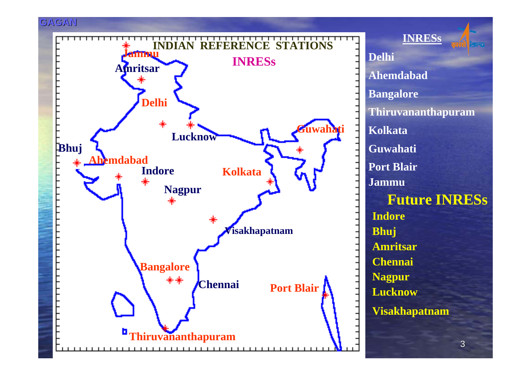

**Delhi Ahemdabad Bangalore Thiruvananthapuram KolkataGuwahati Port Blair INRESs Future INRESs Indore Bhuj Amritsar Chennai Lucknow JammuVisakhapatnam**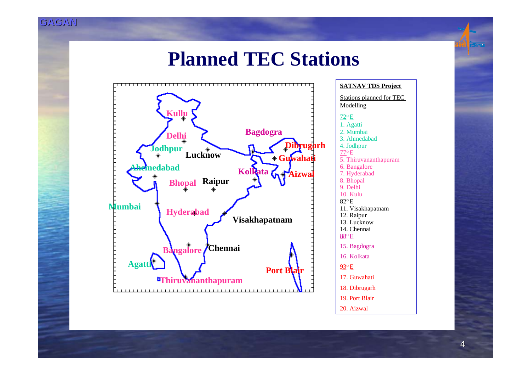#### **Planned TEC Stations**



Stations planned for TEC **Modelling** <u>72º E</u> 1. Agatti 2. Mumbai 3. Ahmedabad4. Jodhpur 77oE 5. Thiruvananthapuram 6. Bangalore 7. Hyderabad 8. Bhopal 9. Delhi10. Kulu82oE11. Visakhapatnam 12. Raipur 13. Lucknow14. Chennai $88^{\mathrm{o}}$  E 15. Bagdogra 16. Kolkata<u>93</u>º E 17. Guwahati18. Dibrugarh 19. Port Blair20. Aizwal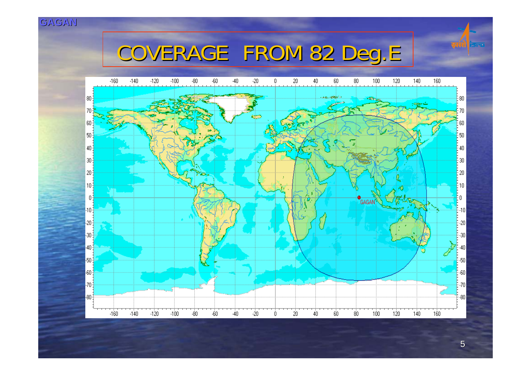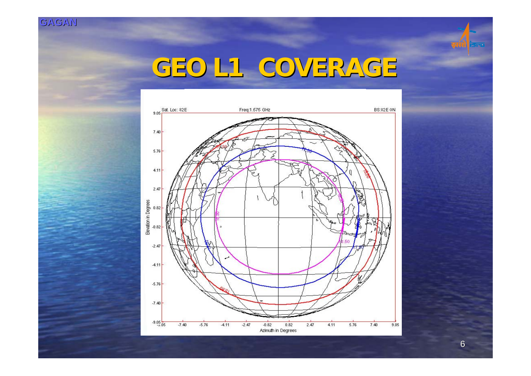

### **GEO L1 COVERAGE GEO L1 COVERAGE**

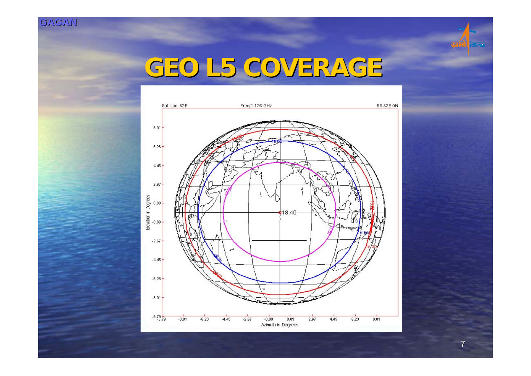

### **GEO L5 COVERAGE GEO L5 COVERAGE**



7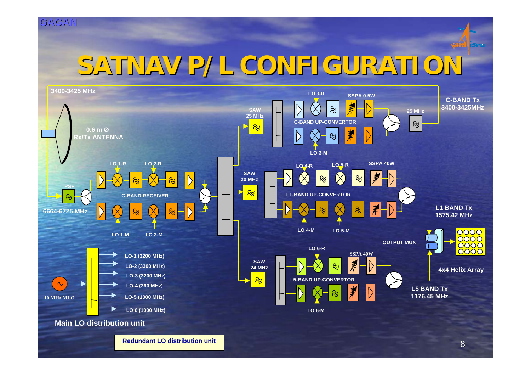

### **SATNAV P/L CONFIGURATION SATNAV P/L CONFIGURATION**

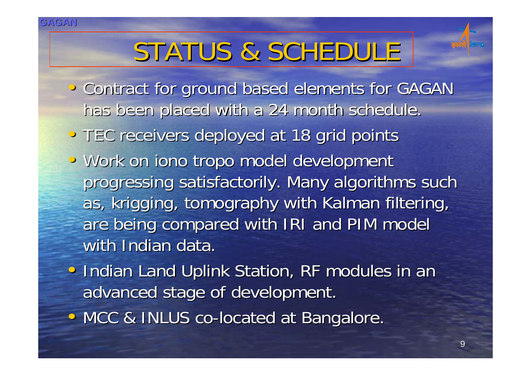## STATUS & SCHEDULE

- Contract for ground based elements for GAGAN has been placed with a 24 month schedule.
- TEC receivers deployed at 18 grid points
- Work on iono tropo model development progressing satisfactorily. Many algorithms such as, krigging, tomography with Kalman filtering, are being compared with IRI and PIM model with Indian data.
- Indian Land Uplink Station, RF modules in an advanced stage of development.
- MCC & INLUS co-located at Bangalore.